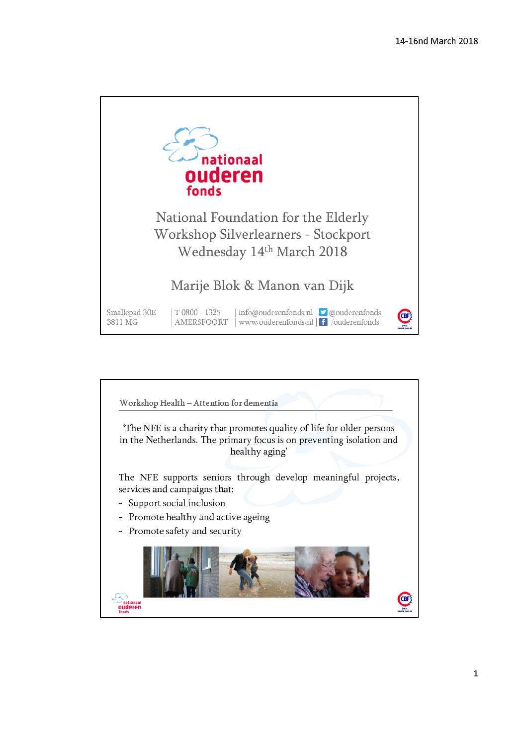

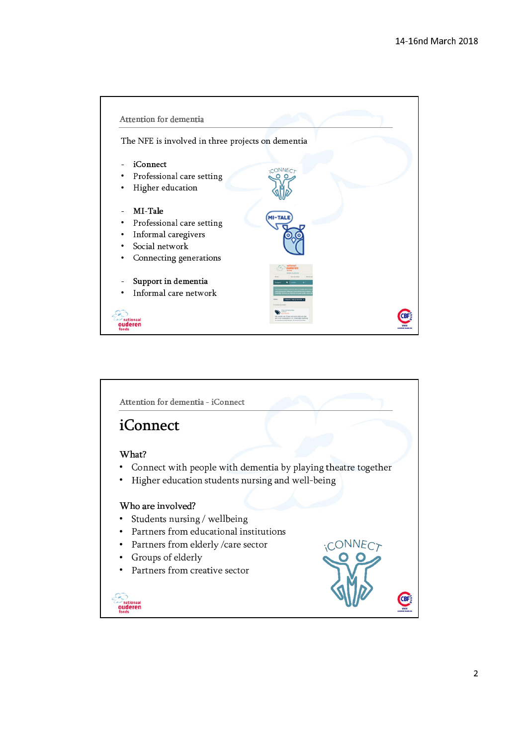

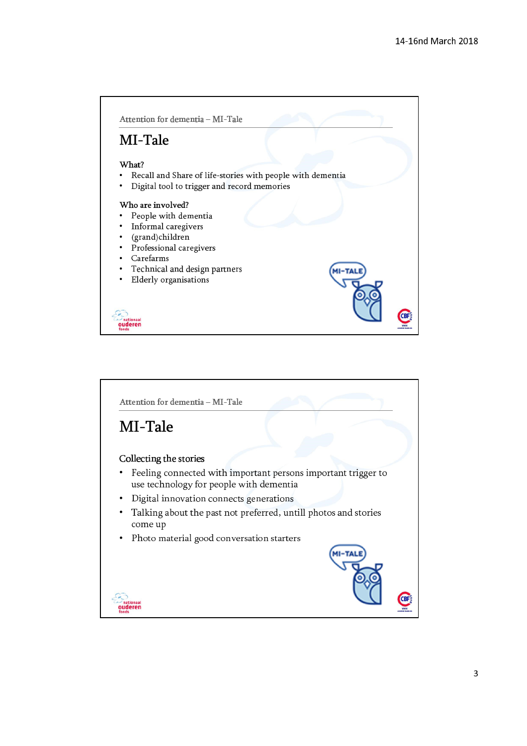

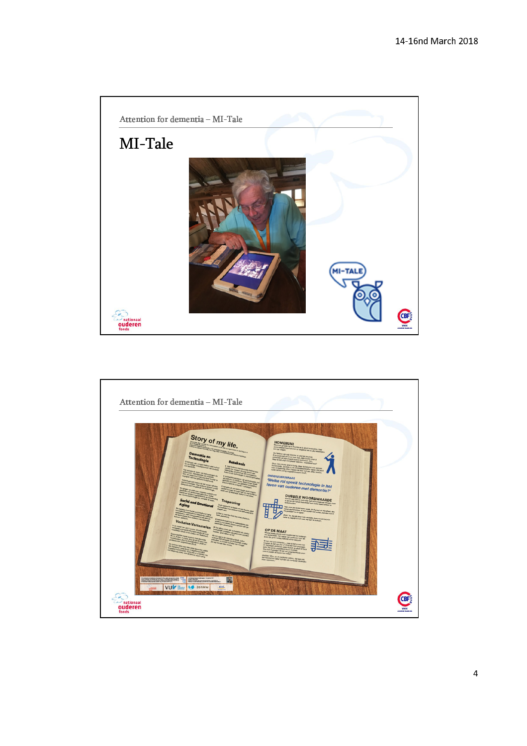

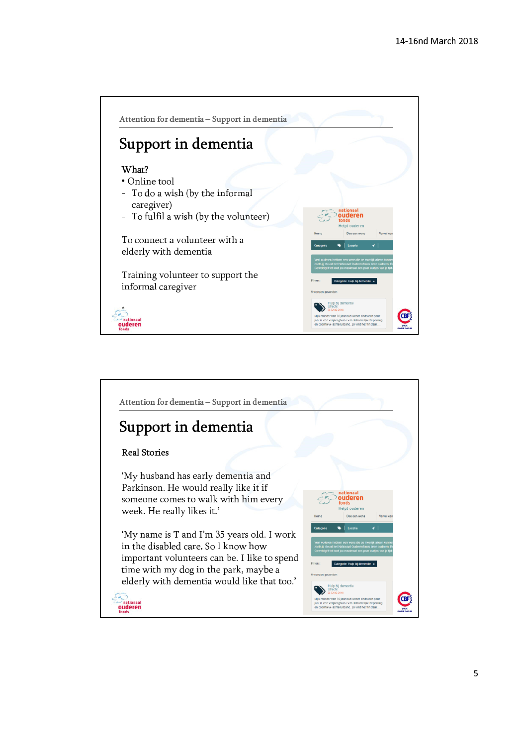



5